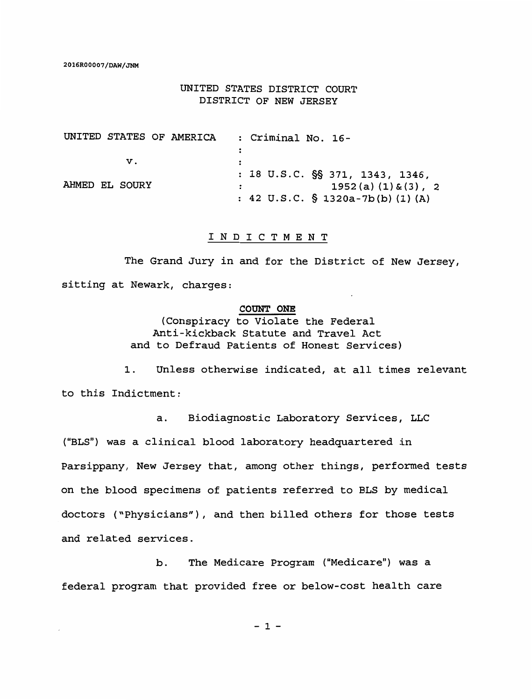## UNITED STATES DISTRICT COURT DISTRICT OF NEW JERSEY

| UNITED STATES OF AMERICA | : Criminal No. 16-                 |
|--------------------------|------------------------------------|
|                          |                                    |
| V.                       |                                    |
|                          | : 18 U.S.C. $\S$ 371, 1343, 1346,  |
| AHMED EL SOURY           | $1952(a) (1) \& (3)$ , 2           |
|                          | : 42 U.S.C. $\S$ 1320a-7b(b)(1)(A) |

## I N D I C T M E N T

The Grand Jury in and for the District of New Jersey, sitting at Newark, charges:

## **COUNT ONE**

{Conspiracy to Violate the Federal Anti-kickback Statute and Travel Act and to Defraud Patients of Honest Services)

1. Unless otherwise indicated, at all times relevant to this Indictment:

a. Biodiagnostic Laboratory Services, LLC {"BLS") was a clinical blood laboratory headquartered in Parsippany, New Jersey that, among other things, performed tests on the blood specimens of patients referred to BLS by medical doctors {"Physicians"), and then billed others for those tests and related services.

b. The Medicare Program ("Medicare") was a federal program that provided free or below-cost health care

 $-1 -$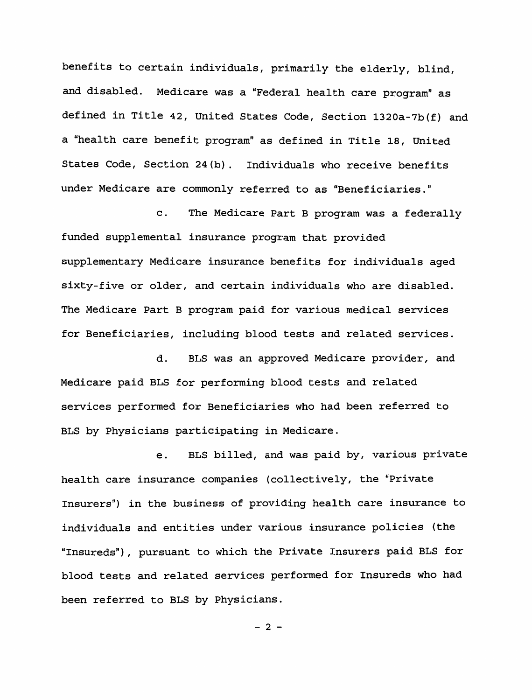benefits to certain individuals, primarily the elderly, blind, and disabled. Medicare was a "Federal health care program" as defined in Title 42, United States Code, Section 1320a-7b(f) and a "health care benefit program" as defined in Title 18, United States Code, Section 24(b). Individuals who receive benefits under Medicare are commonly referred to as "Beneficiaries."

c. The Medicare Part B program was a federally funded supplemental insurance program that provided supplementary Medicare insurance benefits for individuals aged sixty-five or older, and certain individuals who are disabled. The Medicare Part B program paid for various medical services for Beneficiaries, including blood tests and related services.

d. BLS was an approved Medicare provider, and Medicare paid BLS for performing blood tests and related services performed for Beneficiaries who had been referred to BLS by Physicians participating in Medicare.

e. BLS billed, and was paid by, various private health care insurance companies (collectively, the "Private Insurers") in the business of providing health care insurance to individuals and entities under various insurance policies (the "Insureds"), pursuant to which the Private Insurers paid BLS for blood tests and related services performed for Insureds who had been referred to BLS by Physicians.

 $-2 -$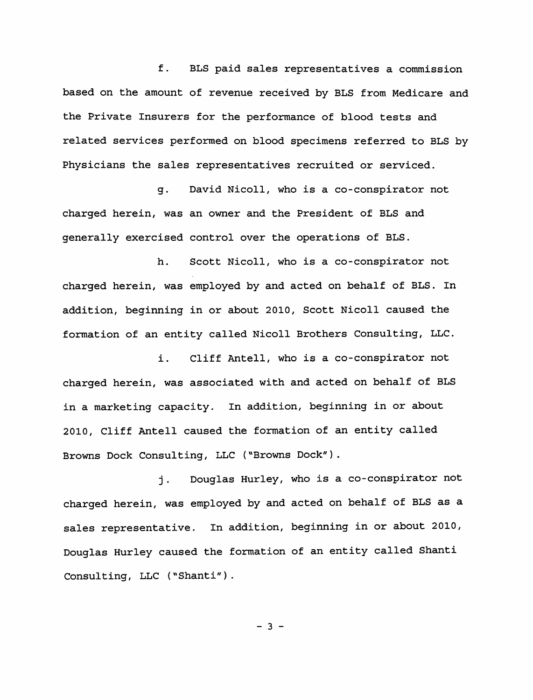f. BLS paid sales representatives a commission based on the amount of revenue received by BLS from Medicare and the Private Insurers for the performance of blood tests and related services performed on blood specimens referred to BLS by Physicians the sales representatives recruited or serviced.

g. David Nicoll, who is a co-conspirator not charged herein, was an owner and the President of BLS and generally exercised control over the operations of BLS.

h. Scott Nicoll, who is a co-conspirator not charged herein, was employed by and acted on behalf of BLS. In addition, beginning in or about 2010, Scott Nicoll caused the formation of an entity called Nicoll Brothers Consulting, LLC.

i. Cliff Antell, who is a co-conspirator not charged herein, was associated with and acted on behalf of BLS in a marketing capacity. In addition, beginning in or about 2010, Cliff Antell caused the formation of an entity called Browns Dock Consulting, LLC ("Browns Dock").

j. Douglas Hurley, who is a co-conspirator not charged herein, was employed by and acted on behalf of BLS as a sales representative. In addition, beginning in or about 2010, Douglas Hurley caused the formation of an entity called Shanti Consulting, LLC ("Shanti").

 $- 3 -$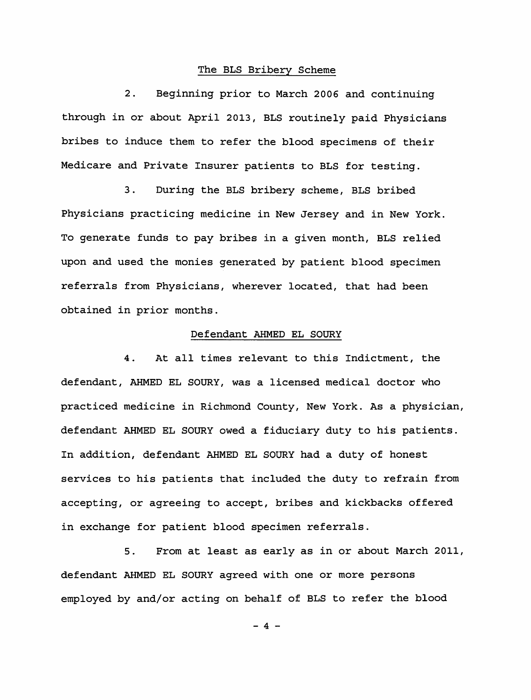## The BLS Bribery Scheme

2. Beginning prior to March 2006 and continuing through in or about April 2013, BLS routinely paid Physicians bribes to induce them to refer the blood specimens of their Medicare and Private Insurer patients to BLS for testing.

3. During the BLS bribery scheme, BLS bribed Physicians practicing medicine in New Jersey and in New York. To generate funds to pay bribes in a given month, BLS relied upon and used the monies generated by patient blood specimen referrals from Physicians, wherever located, that had been obtained in prior months.

#### Defendant AHMED EL SOURY

4. At all times relevant to this Indictment, the defendant, AHMED EL SOURY, was a licensed medical doctor who practiced medicine in Richmond County, New York. As a physician, defendant AHMED EL SOURY owed a fiduciary duty to his patients. In addition, defendant AHMED EL SOURY had a duty of honest services to his patients that included the duty to refrain from accepting, or agreeing to accept, bribes and kickbacks offered in exchange for patient blood specimen referrals.

5. From at least as early as in or about March 2011, defendant AHMED EL SOURY agreed with one or more persons employed by and/or acting on behalf of BLS to refer the blood

 $- 4 -$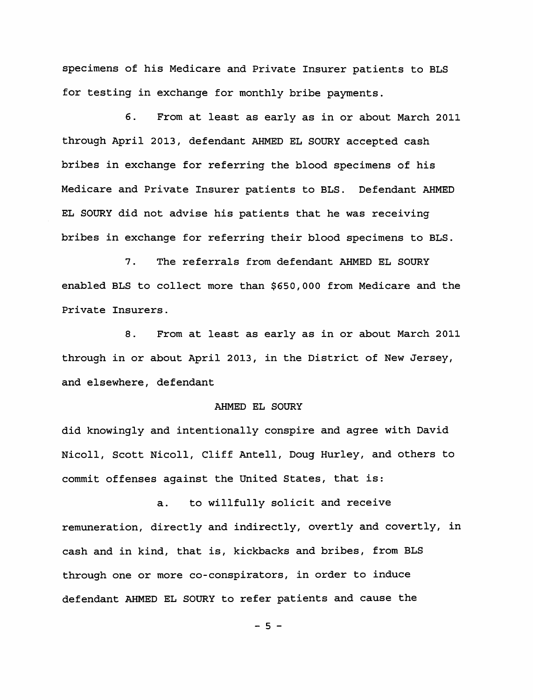specimens of his Medicare and Private Insurer patients to BLS for testing in exchange for monthly bribe payments.

6. From at least as early as in or about March 2011 through April 2013, defendant AHMED EL SOURY accepted cash bribes in exchange for referring the blood specimens of his Medicare and Private Insurer patients to BLS. Defendant AHMED EL SOURY did not advise his patients that he was receiving bribes in exchange for referring their blood specimens to BLS.

7. The referrals from defendant AHMED EL SOURY enabled BLS to collect more than \$650,000 from Medicare and the Private Insurers.

8. From at least as early as in or about March 2011 through in or about April 2013, in the District of New Jersey, and elsewhere, defendant

#### AHMED EL SOURY

did knowingly and intentionally conspire and agree with David Nicoll, Scott Nicoll, Cliff Antell, Doug Hurley, and others to commit offenses against the United States, that is:

a. to willfully solicit and receive remuneration, directly and indirectly, overtly and covertly, in cash and in kind, that is, kickbacks and bribes, from BLS through one or more co-conspirators, in order to induce defendant AHMED EL SOURY to refer patients and cause the

 $-5 -$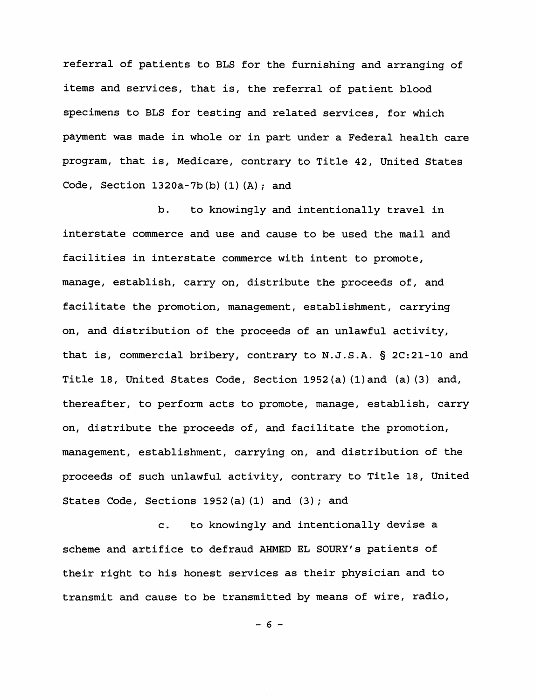referral of patients to BLS for the furnishing and arranging of items and services, that is, the referral of patient blood specimens to BLS for testing and related services, for which payment was made in whole or in part under a Federal health care program, that is, Medicare, contrary to Title 42, United States Code, Section 1320a-7b(b) (1) (A); and

b. to knowingly and intentionally travel in interstate commerce and use and cause to be used the mail and facilities in interstate commerce with intent to promote, manage, establish, carry on, distribute the proceeds of, and facilitate the promotion, management, establishment, carrying on, and distribution of the proceeds of an unlawful activity, that is, commercial bribery, contrary to N.J.S.A. § 2C:21-10 and Title 18, United States Code, Section 1952(a) (l)and (a) (3) and, thereafter, to perform acts to promote, manage, establish, carry on, distribute the proceeds of, and facilitate the promotion, management, establishment, carrying on, and distribution of the proceeds of such unlawful activity, contrary to Title 18, United States Code, Sections  $1952(a) (1)$  and  $(3)$ ; and

c. to knowingly and intentionally devise a scheme and artifice to defraud AHMED EL SOURY's patients of their right to his honest services as their physician and to transmit and cause to be transmitted by means of wire, radio,

 $- 6 -$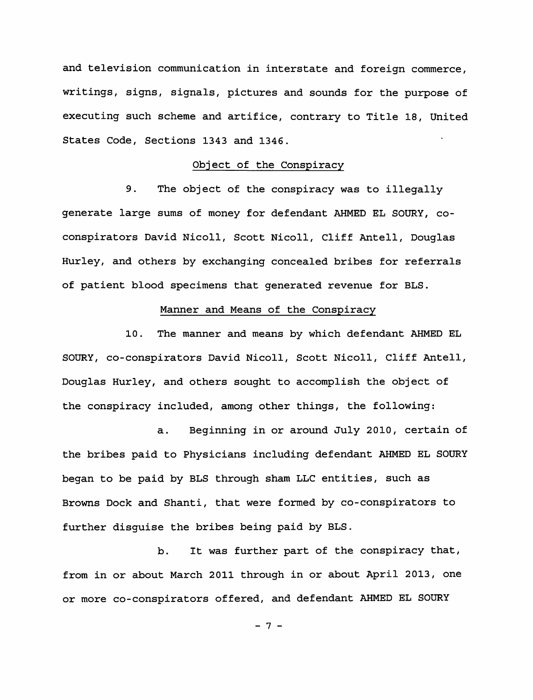and television communication in interstate and foreign commerce, writings, signs, signals, pictures and sounds for the purpose of executing such scheme and artifice, contrary to Title 18, United States Code, Sections 1343 and 1346.

## Object of the Conspiracy

9. The object of the conspiracy was to illegally generate large sums of money for defendant AHMED EL SOURY, coconspirators David Nicoll, Scott Nicoll, Cliff Antell, Douglas Hurley, and others by exchanging concealed bribes for referrals of patient blood specimens that generated revenue for BLS.

## Manner and Means of the Conspiracy

10. The manner and means by which defendant AHMED EL SOURY, co-conspirators David Nicoll, Scott Nicoll, Cliff Antell, Douglas Hurley, and others sought to accomplish the object of the conspiracy included, among other things, the following:

a. Beginning in or around July 2010, certain of the bribes paid to Physicians including defendant AHMED EL SOURY began to be paid by BLS through sham LLC entities, such as Browns Dock and Shanti, that were formed by co-conspirators to further disguise the bribes being paid by BLS.

b. It was further part of the conspiracy that, from in or about March 2011 through in or about April 2013, one or more co-conspirators offered, and defendant AHMED EL SOURY

- 7 -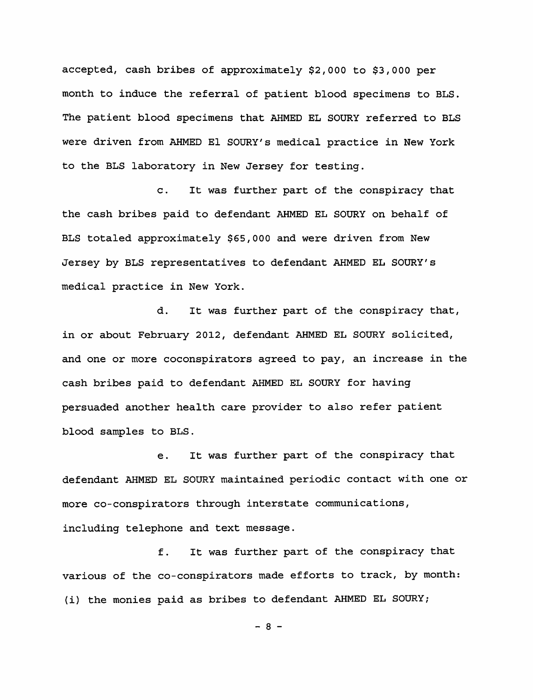accepted, cash bribes of approximately \$2,000 to \$3,000 per month to induce the referral of patient blood specimens to BLS. The patient blood specimens that AHMED EL SOURY referred to BLS were driven from AHMED El SOURY's medical practice in New York to the BLS laboratory in New Jersey for testing.

c. It was further part of the conspiracy that the cash bribes paid to defendant AHMED EL SOURY on behalf of BLS totaled approximately \$65,000 and were driven from New Jersey by BLS representatives to defendant AHMED EL SOURY's medical practice in New York.

d. It was further part of the conspiracy that, in or about February 2012, defendant AHMED EL SOURY solicited, and one or more coconspirators agreed to pay, an increase in the cash bribes paid to defendant AHMED EL SOURY for having persuaded another health care provider to also refer patient blood samples to BLS.

e. It was further part of the conspiracy that defendant AHMED EL SOURY maintained periodic contact with one or more co-conspirators through interstate communications, including telephone and text message.

f. It was further part of the conspiracy that various of the co-conspirators made efforts to track, by month: (i) the monies paid as bribes to defendant AHMED EL SOURY;

 $- 8 -$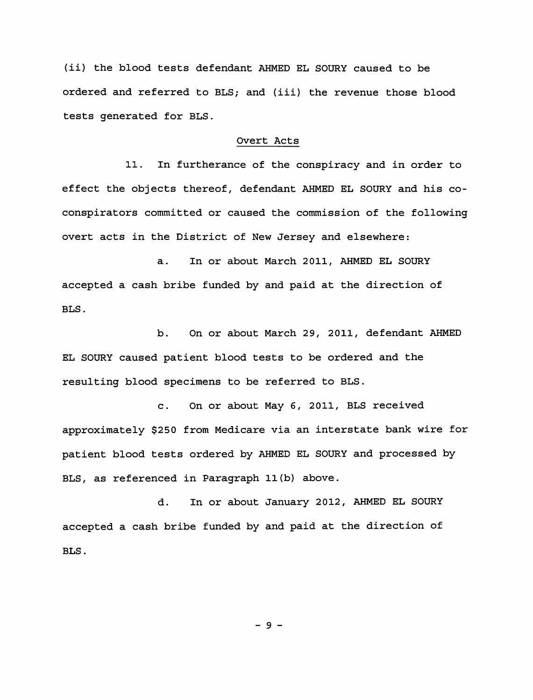(ii) the blood tests defendant AHMED EL SOURY caused to be ordered and referred to BLS; and (iii) the revenue those blood tests generated for BLS.

## Overt Acts

11. In furtherance of the conspiracy and in order to effect the objects thereof, defendant AHMED EL SOURY and his coconspirators committed or caused the commission of the following overt acts in the District of New Jersey and elsewhere:

a. In or about March 2011, AHMED EL SOURY accepted a cash bribe funded by and paid at the direction of BLS.

b. On or about March 29, 2011, defendant AHMED EL SOURY caused patient blood tests to be ordered and the resulting blood specimens to be referred to BLS.

c. On or about May 6, 2011, BLS received approximately \$250 from Medicare via an interstate bank wire for patient blood tests ordered by AHMED EL SOURY and processed by BLS, as referenced in Paragraph ll(b) above.

d. In or about January 2012, AHMED EL SOURY accepted a cash bribe funded by and paid at the direction of BLS.

- 9 -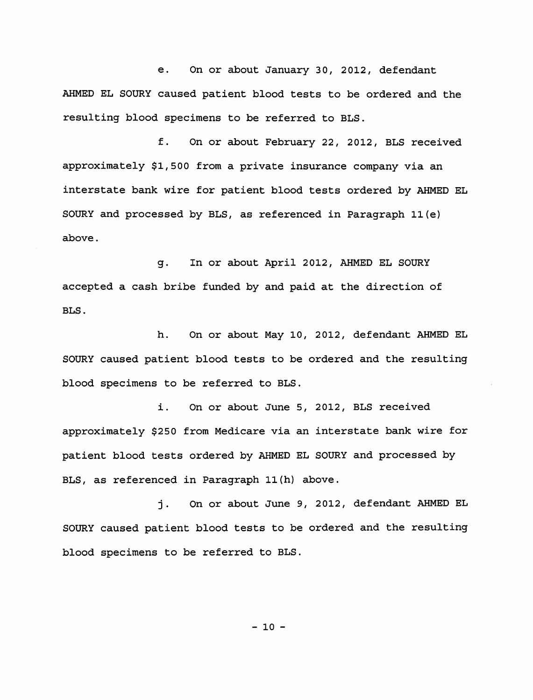e. On or about January 30, 2012, defendant AHMED EL SOURY caused patient blood tests to be ordered and the resulting blood specimens to be referred to BLS.

f. On or about February 22, 2012, BLS received approximately \$1,500 from a private insurance company via an interstate bank wire for patient blood tests ordered by AHMED EL SOURY and processed by BLS, as referenced in Paragraph ll(e) above.

g. In or about April 2012, AHMED EL SOURY accepted a cash bribe funded by and paid at the direction of BLS.

h. On or about May 10, 2012, defendant AHMED EL SOURY caused patient blood tests to be ordered and the resulting blood specimens to be referred to BLS.

i. On or about June 5, 2012, BLS received approximately \$250 from Medicare via an interstate bank wire for patient blood tests ordered by AHMED EL SOURY and processed by BLS, as referenced in Paragraph ll(h) above.

j. On or about June 9, 2012, defendant AHMED EL SOURY caused patient blood tests to be ordered and the resulting blood specimens to be referred to BLS.

 $-10 -$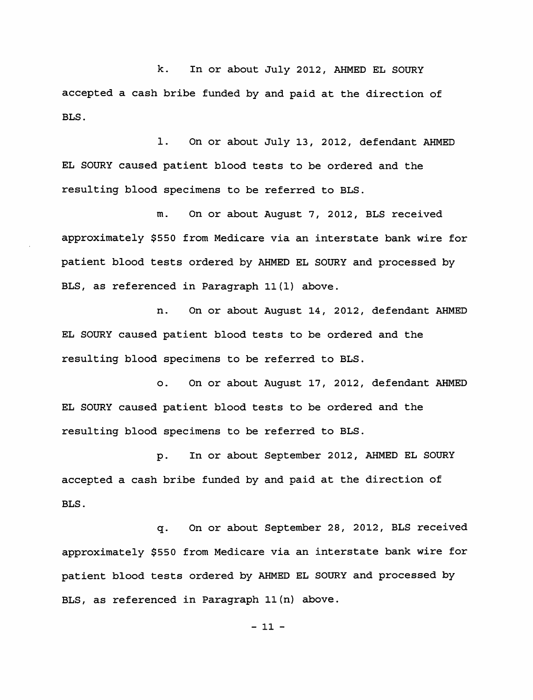k. In or about July 2012, AHMED EL SOURY accepted a cash bribe funded by and paid at the direction of **BLS.** 

1. On or about July 13, 2012, defendant AHMED EL SOURY caused patient blood tests to be ordered and the resulting blood specimens to be referred to BLS.

m. On or about August 7, 2012, BLS received approximately \$550 from Medicare via an interstate bank wire for patient blood tests ordered by AHMED EL SOURY and processed by BLS, as referenced in Paragraph 11(1) above.

n. On or about August 14, 2012, defendant **AHMED EL SOURY** caused patient blood tests to be ordered and the resulting blood specimens to be referred to BLS.

**0.** On or about August 17, **2012,** defendant **AHMED EL SOURY** caused patient blood tests to be ordered and the resulting blood specimens to be referred to BLS.

p. In or about September 2012, AHMED EL SOURY accepted a cash bribe funded by and paid at the direction of BLS.

q. On or about September 28, 2012, BLS received approximately \$550 from Medicare via an interstate bank wire for patient blood tests ordered by AHMED EL SOURY and processed by BLS, as referenced in Paragraph 11(n) above.

 $-11 -$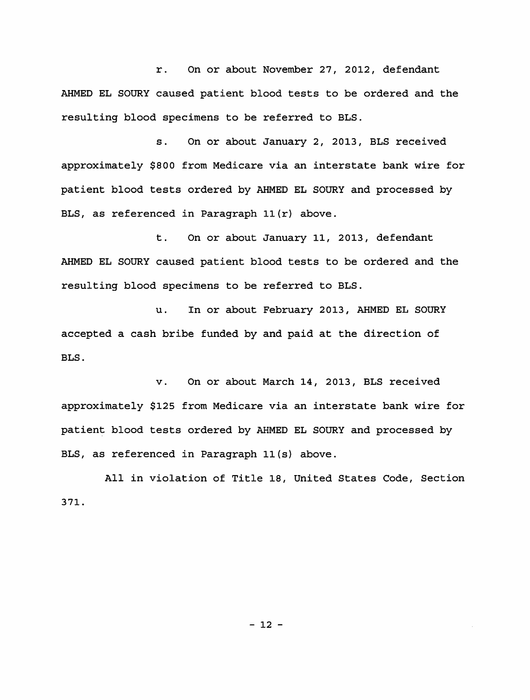r. On or about November 27, 2012, defendant AHMED EL SOURY caused patient blood tests to be ordered and the resulting blood specimens to be referred to BLS.

s. On or about January 2, 2013, BLS received approximately \$800 from Medicare via an interstate bank wire for patient blood tests ordered by AHMED EL SOURY and processed by BLS, as referenced in Paragraph  $11(r)$  above.

t. On or about January 11, 2013, defendant AHMED EL SOURY caused patient blood tests to be ordered and the resulting blood specimens to be referred to BLS.

u. In or about February 2013, AHMED EL SOURY accepted a cash bribe funded by and paid at the direction of BLS.

v. On or about March 14, 2013, BLS received approximately \$125 from Medicare via an interstate bank wire for patient blood tests ordered by AHMED EL SOURY and processed by BLS, as referenced in Paragraph ll(s) above.

All in violation of Title 18, United States Code, Section 371.

- 12 -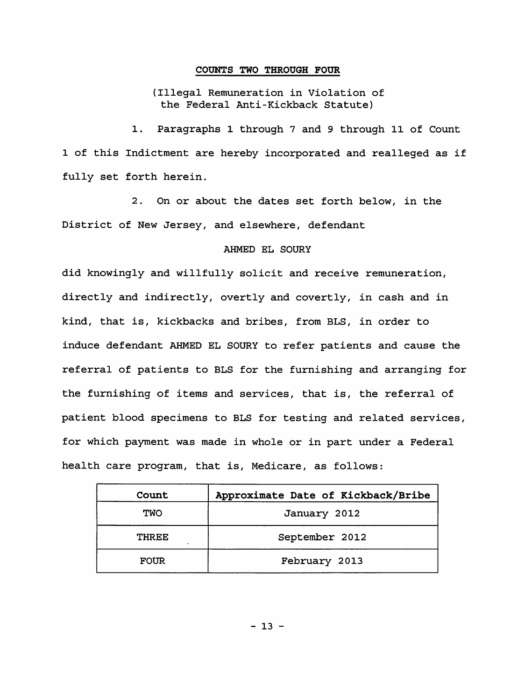#### **COUNTS TWO THROUGH FOUR**

(Illegal Remuneration in Violation of the Federal Anti-Kickback Statute)

1. Paragraphs 1 through 7 and 9 through 11 of Count 1 of this Indictment are hereby incorporated and realleged as if fully set forth herein.

2. On or about the dates set forth below, in the District of New Jersey, and elsewhere, defendant

## AHMED EL SOURY

did knowingly and willfully solicit and receive remuneration, directly and indirectly, overtly and covertly, in cash and in kind, that is, kickbacks and bribes, from BLS, in order to induce defendant AHMED EL SOURY to refer patients and cause the referral of patients to BLS for the furnishing and arranging for the furnishing of items and services, that is, the referral of patient blood specimens to BLS for testing and related services, for which payment was made in whole or in part under a Federal health care program, that is, Medicare, as follows:

| Count        | Approximate Date of Kickback/Bribe |
|--------------|------------------------------------|
| <b>TWO</b>   | January 2012                       |
| <b>THREE</b> | September 2012                     |
| <b>FOUR</b>  | February 2013                      |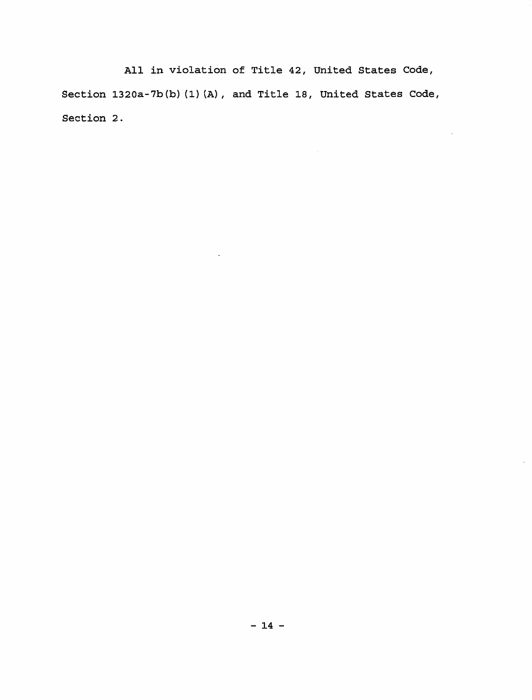All in violation of Title 42, United States Code, Section 1320a-7b(b) (1) (A), and Title 18, United States Code, Section 2.

 $\mathcal{L}(\mathcal{L})$  and  $\mathcal{L}(\mathcal{L})$  .

 $\langle \cdot \rangle$ 

 $\gamma$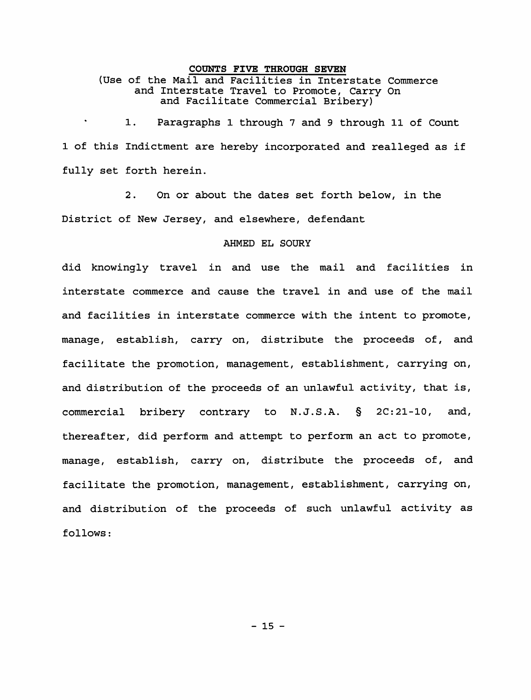#### **COUNTS FIVE THROUGH SEVEN**

(Use of the Mail and Facilities in Interstate Commerce and Interstate Travel to Promote, Carry On and Facilitate Commercial Bribery)

1. Paragraphs 1 through 7 and 9 through 11 of Count 1 of this Indictment are hereby incorporated and realleged as if fully set forth herein.

2. On or about the dates set forth below, in the District of New Jersey, and elsewhere, defendant

#### AHMED EL SOURY

did knowingly travel in and use the mail and facilities in interstate commerce and cause the travel in and use of the mail and facilities in interstate commerce with the intent to promote, manage, establish, carry on, distribute the proceeds of, and facilitate the promotion, management, establishment, carrying on, and distribution of the proceeds of an unlawful activity, that is, commercial bribery contrary to N.J.S.A. § 2C:21-10, and, thereafter, did perform and attempt to perform an act to promote, manage, establish, carry on, distribute the proceeds of, and facilitate the promotion, management, establishment, carrying on, and distribution of the proceeds of such unlawful activity as follows: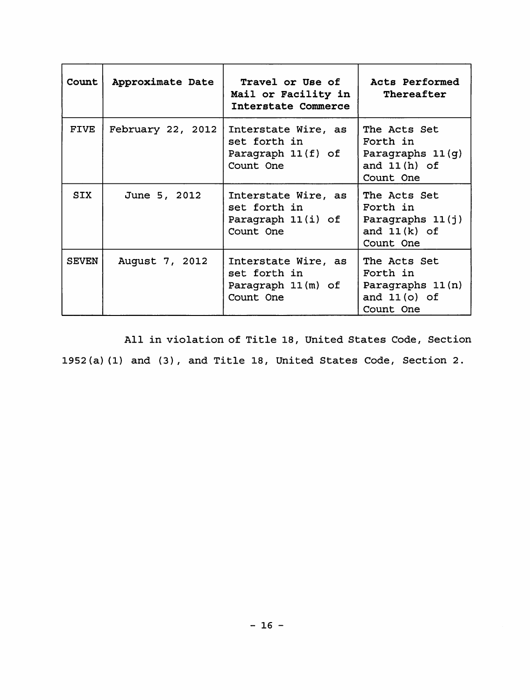| Count        | Approximate Date  | Travel or Use of<br>Mail or Facility in  <br>Interstate Commerce       | Acts Performed<br>Thereafter                                                  |
|--------------|-------------------|------------------------------------------------------------------------|-------------------------------------------------------------------------------|
| <b>FIVE</b>  | February 22, 2012 | Interstate Wire, as<br>set forth in<br>Paragraph 11(f) of<br>Count One | The Acts Set<br>Forth in<br>Paragraphs $11(q)$<br>and $11(h)$ of<br>Count One |
| SIX          | June 5, 2012      | Interstate Wire, as<br>set forth in<br>Paragraph 11(i) of<br>Count One | The Acts Set<br>Forth in<br>Paragraphs 11(j)<br>and $11(k)$ of<br>Count One   |
| <b>SEVEN</b> | August 7, 2012    | Interstate Wire, as<br>set forth in<br>Paragraph 11(m) of<br>Count One | The Acts Set<br>Forth in<br>Paragraphs 11(n)<br>and $11(0)$ of<br>Count One   |

All in violation of Title 18, United States Code, Section 1952(a} (1} and (3}, and Title 18, United States Code, Section 2.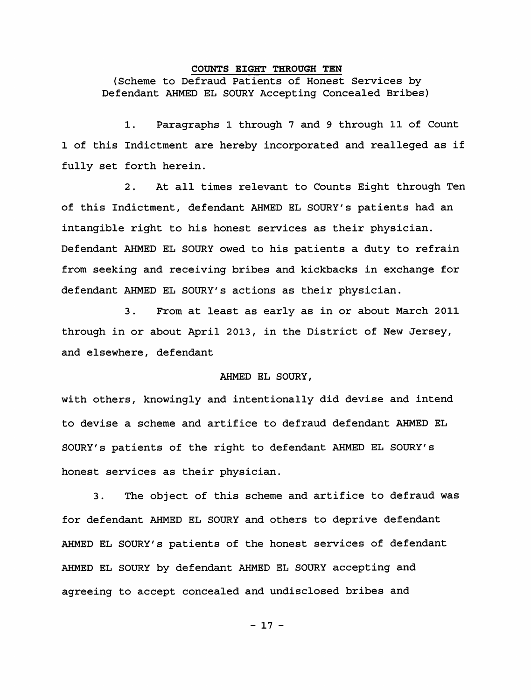#### **COUNTS EIGHT THROUGH TEN**

(Scheme to Defraud Patients of Honest Services by Defendant AHMED EL SOURY Accepting Concealed Bribes)

1. Paragraphs 1 through 7 and 9 through 11 of Count 1 of this Indictment are hereby incorporated and realleged as if fully set forth herein.

2. At all times relevant to Counts Eight through Ten of this Indictment, defendant AHMED EL SOURY's patients had an intangible right to his honest services as their physician. Defendant AHMED EL SOURY owed to his patients a duty to refrain from seeking and receiving bribes and kickbacks in exchange for defendant AHMED EL SOURY's actions as their physician.

3. From at least as early as in or about March 2011 through in or about April 2013, in the District of New Jersey, and elsewhere, defendant

## AHMED EL SOURY,

with others, knowingly and intentionally did devise and intend to devise a scheme and artifice to defraud defendant AHMED EL SOURY's patients of the right to defendant AHMED EL SOURY's honest services as their physician.

3. The object of this scheme and artifice to defraud was for defendant AHMED EL SOURY and others to deprive defendant AHMED EL SOURY's patients of the honest services of defendant AHMED EL SOURY by defendant AHMED EL SOURY accepting and agreeing to accept concealed and undisclosed bribes and

 $-17 -$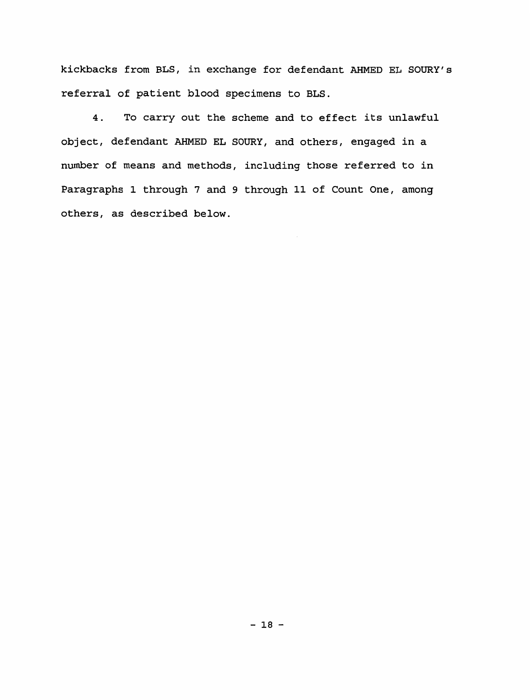kickbacks from BLS, in exchange for defendant AHMED EL SOURY's referral of patient blood specimens to BLS.

4. To carry out the scheme and to effect its unlawful object, defendant AHMED EL SOURY, and others, engaged in a number of means and methods, including those referred to in Paragraphs 1 through 7 and 9 through 11 of Count One, among others, as described below.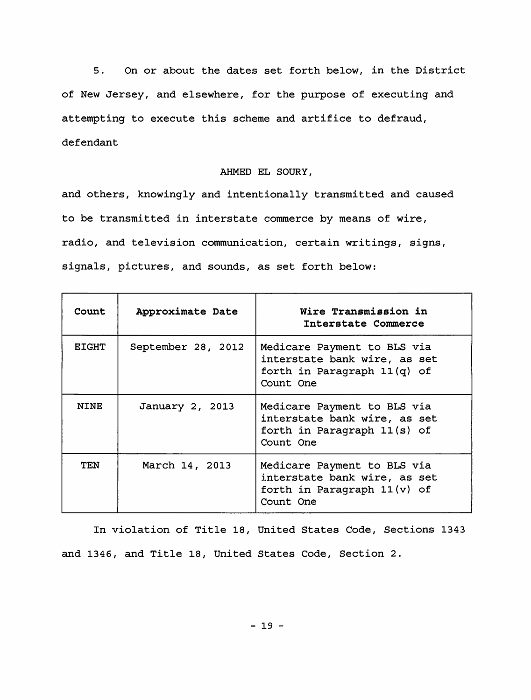5. On or about the dates set forth below, in the District of New Jersey, and elsewhere, for the purpose of executing and attempting to execute this scheme and artifice to defraud, defendant

#### AHMED EL SOURY,

and others, knowingly and intentionally transmitted and caused to be transmitted in interstate commerce by means of wire, radio, and television communication, certain writings, signs, signals, pictures, and sounds, as set forth below:

| <b>Count</b> | Approximate Date   | Wire Transmission in<br>Interstate Commerce                                                             |
|--------------|--------------------|---------------------------------------------------------------------------------------------------------|
| <b>EIGHT</b> | September 28, 2012 | Medicare Payment to BLS via<br>interstate bank wire, as set<br>forth in Paragraph 11(q) of<br>Count One |
| <b>NTNE</b>  | January 2, 2013    | Medicare Payment to BLS via<br>interstate bank wire, as set<br>forth in Paragraph 11(s) of<br>Count One |
| TEN          | March 14, 2013     | Medicare Payment to BLS via<br>interstate bank wire, as set<br>forth in Paragraph 11(v) of<br>Count One |

In violation of Title 18, United States Code, Sections 1343 and 1346, and Title 18, United States Code, Section 2.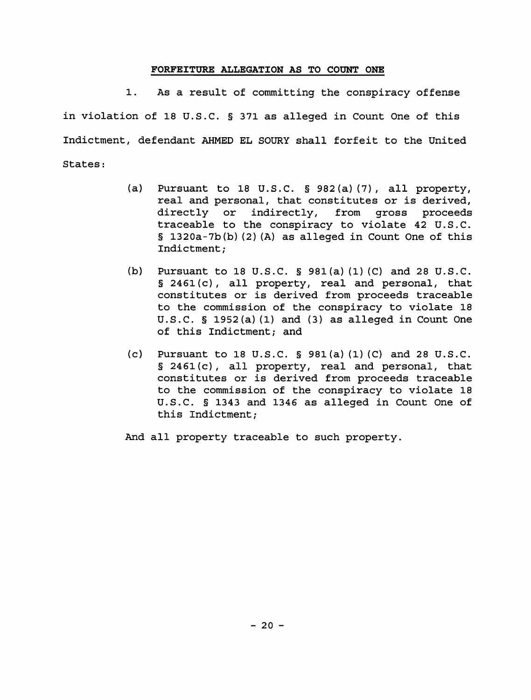#### **FORFEITURE ALLEGATION AS TO COUNT ONE**

1. As a result of committing the conspiracy offense in violation of 18 U.S.C. § 371 as alleged in Count One of this Indictment, defendant AHMED EL SOURY shall forfeit to the United States:

- (a) Pursuant to 18 U.S.C. § 982(a) (7), all property, real and personal, that constitutes or is derived, directly or indirectly, from gross proceeds traceable to the conspiracy to violate 42 U.S.C. § 1320a-7b(b) (2) (A) as alleged in Count One of this Indictment;
- (b) Pursuant to 18 U.S.C. § 981(a) (1) (C) and 28 U.S.C. § 2461(c), all property, real and personal, that constitutes or is derived from proceeds traceable to the commission of the conspiracy to violate 18 U.S.C. § 1952(a) (1) and (3) as alleged in Count One of this Indictment; and
- (c) Pursuant to 18 U.S.C.  $\S$  981(a)(1)(C) and 28 U.S.C. § 2461(c), all property, real and personal, that constitutes or is derived from proceeds traceable to the commission of the conspiracy to violate 18 U.S.C. § 1343 and 1346 as alleged in Count One of this Indictment;
- And all property traceable to such property.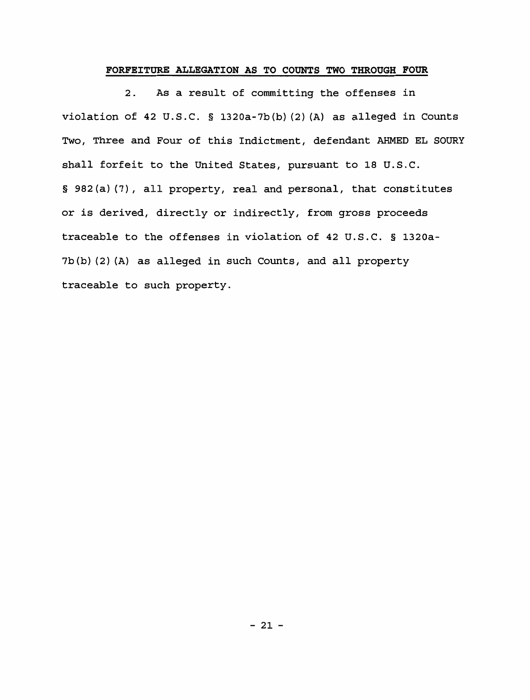## **FORFEITURE ALLEGATION AS TO COUNTS TWO THROUGH FOUR**

2. As a result of committing the offenses in violation of 42 U.S.C. § 1320a-7b(b} (2) (A} as alleged in Counts Two, Three and Four of this Indictment, defendant AHMED EL SOURY shall forfeit to the United States, pursuant to 18 U.S.C. § 982(a} (7), all property, real and personal, that constitutes or is derived, directly or indirectly, from gross proceeds traceable to the offenses in violation of 42 U.S.C. § 1320a-7b(b} (2) (A} as alleged in such Counts, and all property traceable to such property.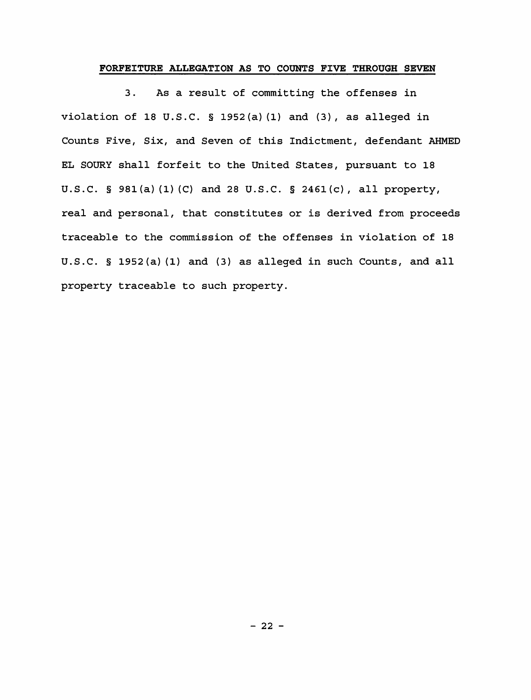#### **FORFEITURE ALLEGATION AS TO COUNTS FIVE THROUGH SEVEN**

3. As a result of committing the offenses in violation of 18 U.S.C. § 1952(a) (1) and (3), as alleged in Counts Five, Six, and Seven of this Indictment, defendant AHMED EL SOURY shall forfeit to the United States, pursuant to 18 U.S.C. § 981(a) (1) (C) and 28 u.s.c. § 2461(c), all property, real and personal, that constitutes or is derived from proceeds traceable to the commission of the offenses in violation of 18 U.S.C. § 1952(a) (1) and (3) as alleged in such Counts, and all property traceable to such property.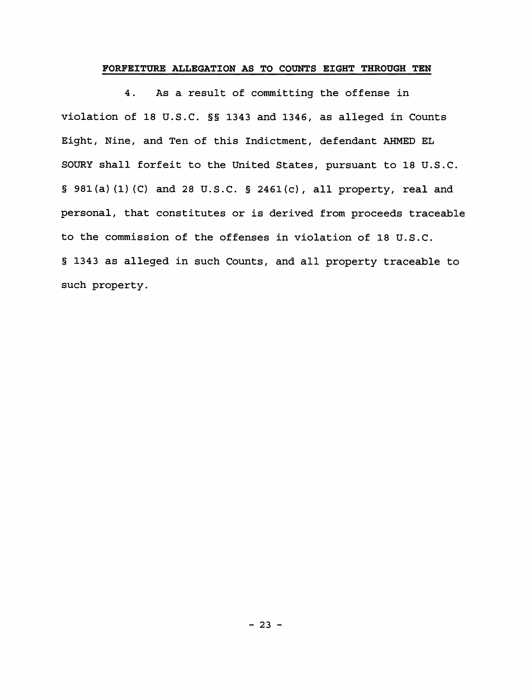## **FORFEITURE ALLEGATION AS TO COUNTS EIGHT THROUGH TEN**

4. As a result of committing the offense in violation of 18 U.S.C. §§ 1343 and 1346, as alleged in Counts Eight, Nine, and Ten of this Indictment, defendant AHMED EL SOURY shall forfeit to the United States, pursuant to 18 U.S.C. § 981(a} (1) (C} and 28 U.S.C. § 2461(c}, all property, real and personal, that constitutes or is derived from proceeds traceable to the commission of the offenses in violation of 18 U.S.C. § 1343 as alleged in such Counts, and all property traceable to such property.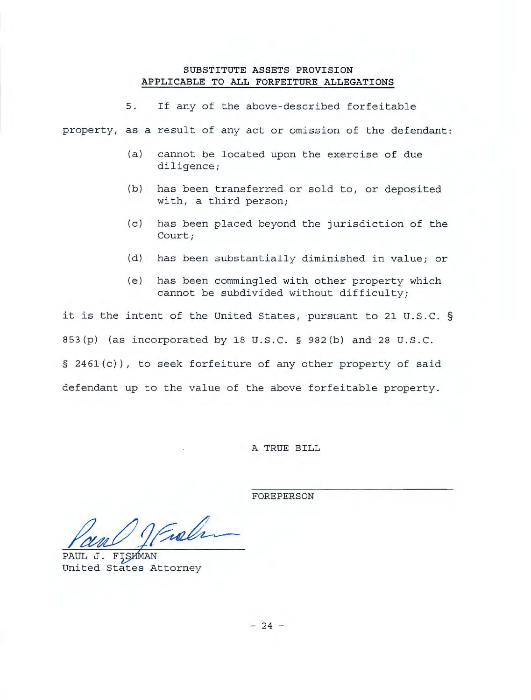## **SUBSTITUTE ASSETS PROVISION APPLICABLE TO ALL FORFEITURE ALLEGATIONS**

5. If any of the above-described forfeitable

property, as a result of any act or omission of the defendant:

- (a) cannot be located upon the exercise of due diligence;
- (b) has been transferred or sold to, or deposited with, a third person;
- (c) has been placed beyond the jurisdiction of the Court;
- (d) has been substantially diminished in value; or
- (e) has been commingled with other property which cannot be subdivided without difficulty;

it is the intent of the United States, pursuant to 21 U.S.C . § 853(p) (as incorporated by 18 U.S.C. § 982(b) and 28 U.S.C. § 2461(c)), to seek forfeiture of any other property of said defendant up to the value of the above forfeitable property.

A TRUE BILL

FOREPERSON

Par Office

United States Attorney